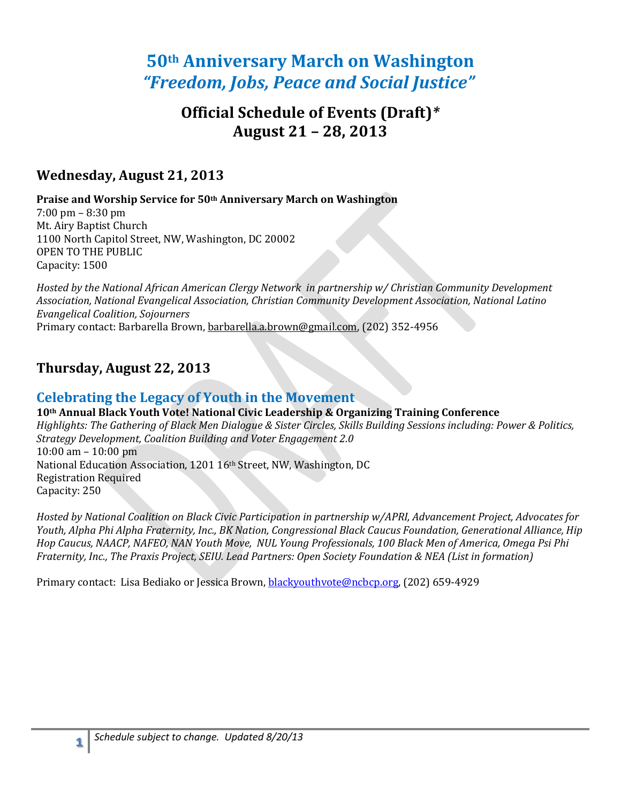# **50th Anniversary March on Washington**  *"Freedom, Jobs, Peace and Social Justice"*

# **Official Schedule of Events (Draft)***\** **August 21 – 28, 2013**

### **Wednesday, August 21, 2013**

**Praise and Worship Service for 50th Anniversary March on Washington** 

7:00 pm – 8:30 pm Mt. Airy Baptist Church 1100 North Capitol Street, NW, Washington, DC 20002 OPEN TO THE PUBLIC Capacity: 1500

*Hosted by the National African American Clergy Network in partnership w/ Christian Community Development Association, National Evangelical Association, Christian Community Development Association, National Latino Evangelical Coalition, Sojourners* Primary contact: Barbarella Brown, [barbarella.a.brown@gmail.com,](mailto:barbarella.a.brown@gmail.com) (202) 352-4956

## **Thursday, August 22, 2013**

### **Celebrating the Legacy of Youth in the Movement**

**10th Annual Black Youth Vote! National Civic Leadership & Organizing Training Conference** *Highlights: The Gathering of Black Men Dialogue & Sister Circles, Skills Building Sessions including: Power & Politics, Strategy Development, Coalition Building and Voter Engagement 2.0* 10:00 am – 10:00 pm National Education Association, 1201 16th Street, NW, Washington, DC Registration Required Capacity: 250

*Hosted by National Coalition on Black Civic Participation in partnership w/APRI, Advancement Project, Advocates for Youth, Alpha Phi Alpha Fraternity, Inc., BK Nation, Congressional Black Caucus Foundation, Generational Alliance, Hip Hop Caucus, NAACP, NAFEO, NAN Youth Move, NUL Young Professionals, 100 Black Men of America, Omega Psi Phi Fraternity, Inc., The Praxis Project, SEIU. Lead Partners: Open Society Foundation & NEA (List in formation)*

Primary contact: Lisa Bediako or Jessica Brown, [blackyouthvote@ncbcp.org,](mailto:blackyouthvote@ncbcp.org) (202) 659-4929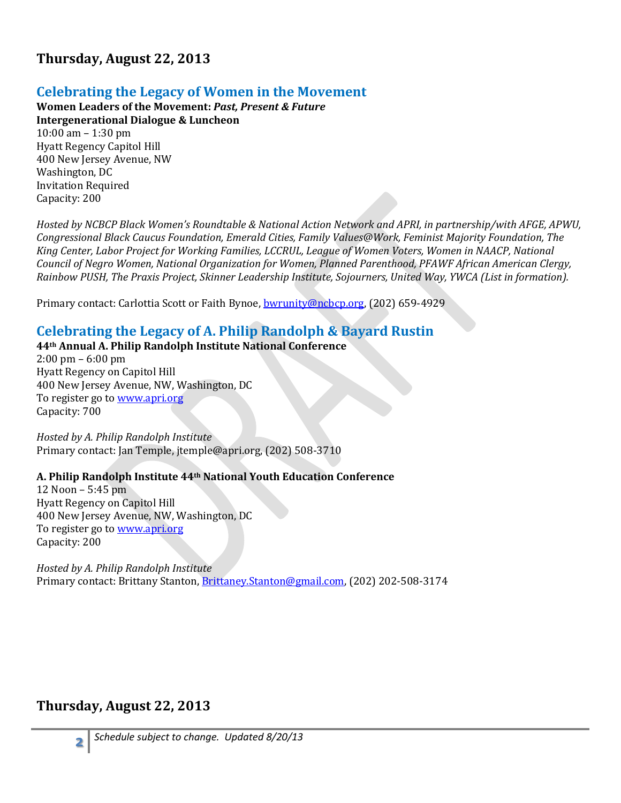## **Thursday, August 22, 2013**

### **Celebrating the Legacy of Women in the Movement**

**Women Leaders of the Movement:** *Past, Present & Future* **Intergenerational Dialogue & Luncheon** 10:00 am – 1:30 pm Hyatt Regency Capitol Hill 400 New Jersey Avenue, NW Washington, DC Invitation Required Capacity: 200

*Hosted by NCBCP Black Women's Roundtable & National Action Network and APRI, in partnership/with AFGE, APWU, Congressional Black Caucus Foundation, Emerald Cities, Family Values@Work, Feminist Majority Foundation, The King Center, Labor Project for Working Families, LCCRUL, League of Women Voters, Women in NAACP, National Council of Negro Women, National Organization for Women, Planned Parenthood, PFAWF African American Clergy, Rainbow PUSH, The Praxis Project, Skinner Leadership Institute, Sojourners, United Way, YWCA (List in formation).*

Primary contact: Carlottia Scott or Faith Bynoe[, bwrunity@ncbcp.org,](mailto:bwrunity@ncbcp.org) (202) 659-4929

### **Celebrating the Legacy of A. Philip Randolph & Bayard Rustin**

### **44th Annual A. Philip Randolph Institute National Conference**

2:00 pm – 6:00 pm Hyatt Regency on Capitol Hill 400 New Jersey Avenue, NW, Washington, DC To register go t[o www.apri.org](http://www.apri.org/) Capacity: 700

*Hosted by A. Philip Randolph Institute* Primary contact: Jan Temple, [jtemple@apri.org,](mailto:jtemple@apri.org) (202) 508-3710

#### **A. Philip Randolph Institute 44th National Youth Education Conference**

12 Noon – 5:45 pm Hyatt Regency on Capitol Hill 400 New Jersey Avenue, NW, Washington, DC To register go t[o www.apri.org](http://www.apri.org/) Capacity: 200

*Hosted by A. Philip Randolph Institute* Primary contact: Brittany Stanton, [Brittaney.Stanton@gmail.com,](mailto:Brittaney.Stanton@gmail.com) (202) 202-508-3174

### **Thursday, August 22, 2013**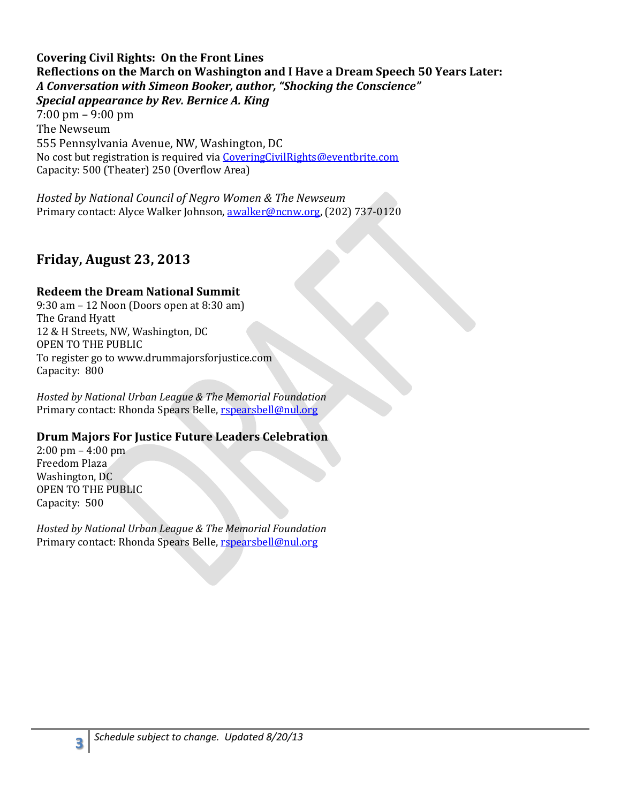**Covering Civil Rights: On the Front Lines Reflections on the March on Washington and I Have a Dream Speech 50 Years Later:** *A Conversation with Simeon Booker, author, "Shocking the Conscience" Special appearance by Rev. Bernice A. King* 7:00 pm – 9:00 pm

The Newseum 555 Pennsylvania Avenue, NW, Washington, DC No cost but registration is required vi[a CoveringCivilRights@eventbrite.com](mailto:CoveringCivilRights@eventbrite.com) Capacity: 500 (Theater) 250 (Overflow Area)

*Hosted by National Council of Negro Women & The Newseum*  Primary contact: Alyce Walker Johnson, [awalker@ncnw.org,](mailto:awalker@ncnw.org) (202) 737-0120

## **Friday, August 23, 2013**

### **Redeem the Dream National Summit**

9:30 am – 12 Noon (Doors open at 8:30 am) The Grand Hyatt 12 & H Streets, NW, Washington, DC OPEN TO THE PUBLIC To register go to www.drummajorsforjustice.com Capacity: 800

*Hosted by National Urban League & The Memorial Foundation* Primary contact: Rhonda Spears Belle[, rspearsbell@nul.org](mailto:rspearsbell@nul.org)

### **Drum Majors For Justice Future Leaders Celebration**

2:00 pm – 4:00 pm Freedom Plaza Washington, DC OPEN TO THE PUBLIC Capacity: 500

*Hosted by National Urban League & The Memorial Foundation* Primary contact: Rhonda Spears Belle[, rspearsbell@nul.org](mailto:rspearsbell@nul.org)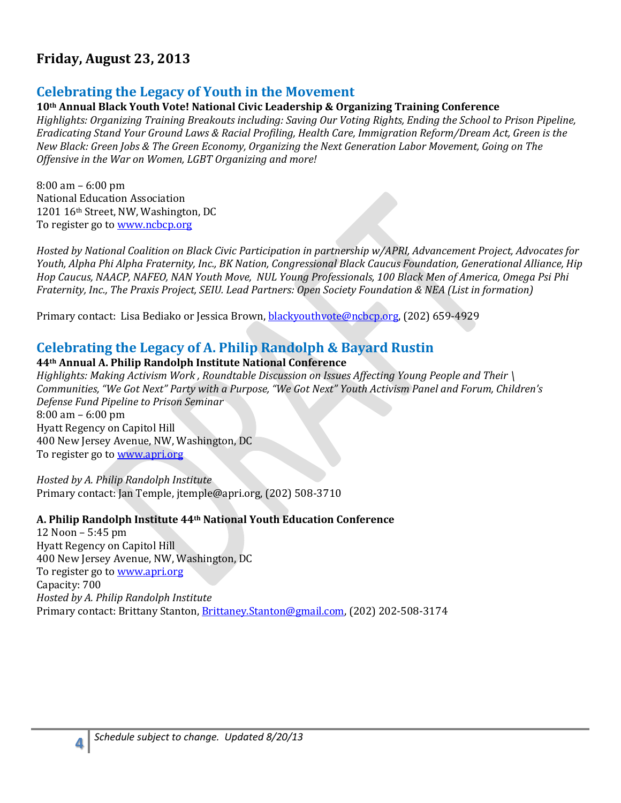## **Friday, August 23, 2013**

### **Celebrating the Legacy of Youth in the Movement**

#### **10th Annual Black Youth Vote! National Civic Leadership & Organizing Training Conference**

*Highlights: Organizing Training Breakouts including: Saving Our Voting Rights, Ending the School to Prison Pipeline, Eradicating Stand Your Ground Laws & Racial Profiling, Health Care, Immigration Reform/Dream Act, Green is the New Black: Green Jobs & The Green Economy, Organizing the Next Generation Labor Movement, Going on The Offensive in the War on Women, LGBT Organizing and more!*

8:00 am – 6:00 pm National Education Association 1201 16th Street, NW, Washington, DC To register go t[o www.ncbcp.org](http://www.ncbcp.org/)

*Hosted by National Coalition on Black Civic Participation in partnership w/APRI, Advancement Project, Advocates for Youth, Alpha Phi Alpha Fraternity, Inc., BK Nation, Congressional Black Caucus Foundation, Generational Alliance, Hip Hop Caucus, NAACP, NAFEO, NAN Youth Move, NUL Young Professionals, 100 Black Men of America, Omega Psi Phi Fraternity, Inc., The Praxis Project, SEIU. Lead Partners: Open Society Foundation & NEA (List in formation)*

Primary contact: Lisa Bediako or Jessica Brown[, blackyouthvote@ncbcp.org,](mailto:blackyouthvote@ncbcp.org) (202) 659-4929

### **Celebrating the Legacy of A. Philip Randolph & Bayard Rustin**

#### **44th Annual A. Philip Randolph Institute National Conference**

*Highlights: Making Activism Work , Roundtable Discussion on Issues Affecting Young People and Their \ Communities, "We Got Next" Party with a Purpose, "We Got Next" Youth Activism Panel and Forum, Children's Defense Fund Pipeline to Prison Seminar* 8:00 am – 6:00 pm Hyatt Regency on Capitol Hill 400 New Jersey Avenue, NW, Washington, DC To register go t[o www.apri.org](http://www.apri.org/)

*Hosted by A. Philip Randolph Institute* Primary contact: Jan Temple, [jtemple@apri.org,](mailto:jtemple@apri.org) (202) 508-3710

#### **A. Philip Randolph Institute 44th National Youth Education Conference**

12 Noon – 5:45 pm Hyatt Regency on Capitol Hill 400 New Jersey Avenue, NW, Washington, DC To register go t[o www.apri.org](http://www.apri.org/) Capacity: 700 *Hosted by A. Philip Randolph Institute* Primary contact: Brittany Stanton, [Brittaney.Stanton@gmail.com,](mailto:Brittaney.Stanton@gmail.com) (202) 202-508-3174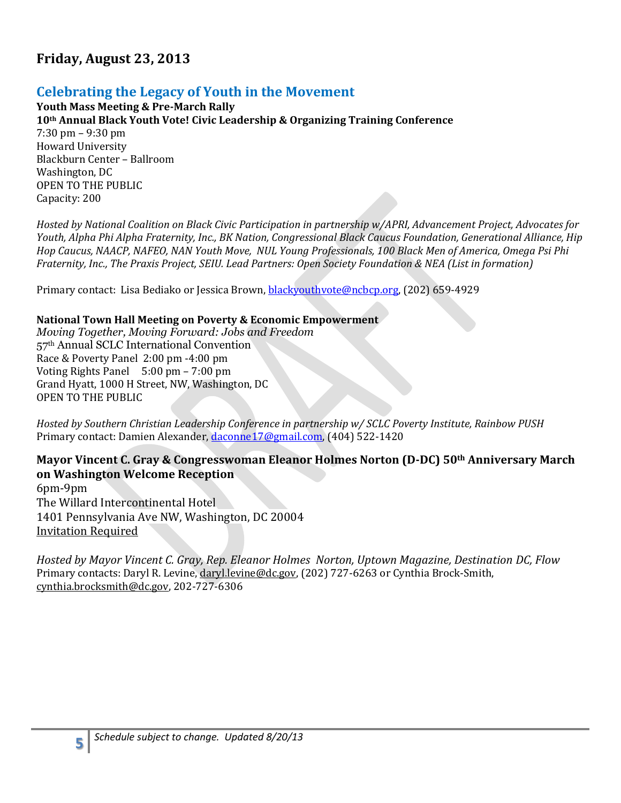## **Friday, August 23, 2013**

## **Celebrating the Legacy of Youth in the Movement**

**Youth Mass Meeting & Pre-March Rally 10th Annual Black Youth Vote! Civic Leadership & Organizing Training Conference** 7:30 pm – 9:30 pm Howard University Blackburn Center – Ballroom Washington, DC OPEN TO THE PUBLIC Capacity: 200

*Hosted by National Coalition on Black Civic Participation in partnership w/APRI, Advancement Project, Advocates for Youth, Alpha Phi Alpha Fraternity, Inc., BK Nation, Congressional Black Caucus Foundation, Generational Alliance, Hip Hop Caucus, NAACP, NAFEO, NAN Youth Move, NUL Young Professionals, 100 Black Men of America, Omega Psi Phi Fraternity, Inc., The Praxis Project, SEIU. Lead Partners: Open Society Foundation & NEA (List in formation)*

Primary contact: Lisa Bediako or Jessica Brown[, blackyouthvote@ncbcp.org,](mailto:blackyouthvote@ncbcp.org) (202) 659-4929

#### **National Town Hall Meeting on Poverty & Economic Empowerment**

*Moving Together, Moving Forward: Jobs and Freedom* 57th Annual SCLC International Convention Race & Poverty Panel 2:00 pm -4:00 pm Voting Rights Panel 5:00 pm – 7:00 pm Grand Hyatt, 1000 H Street, NW, Washington, DC OPEN TO THE PUBLIC

*Hosted by Southern Christian Leadership Conference in partnership w/ SCLC Poverty Institute, Rainbow PUSH* Primary contact: Damien Alexander, [daconne17@gmail.com,](mailto:daconne17@gmail.com) (404) 522-1420

### **Mayor Vincent C. Gray & Congresswoman Eleanor Holmes Norton (D-DC) 50th Anniversary March on Washington Welcome Reception**

6pm-9pm The Willard Intercontinental Hotel 1401 Pennsylvania Ave NW, Washington, DC 20004 Invitation Required

*Hosted by Mayor Vincent C. Gray, Rep. Eleanor Holmes Norton, Uptown Magazine, Destination DC, Flow*  Primary contacts: Daryl R. Levine, [daryl.levine@dc.gov,](mailto:daryl.levine@dc.gov) (202) 727-6263 or Cynthia Brock-Smith, [cynthia.brocksmith@dc.gov,](mailto:cynthia.brocksmith@dc.gov) 202-727-6306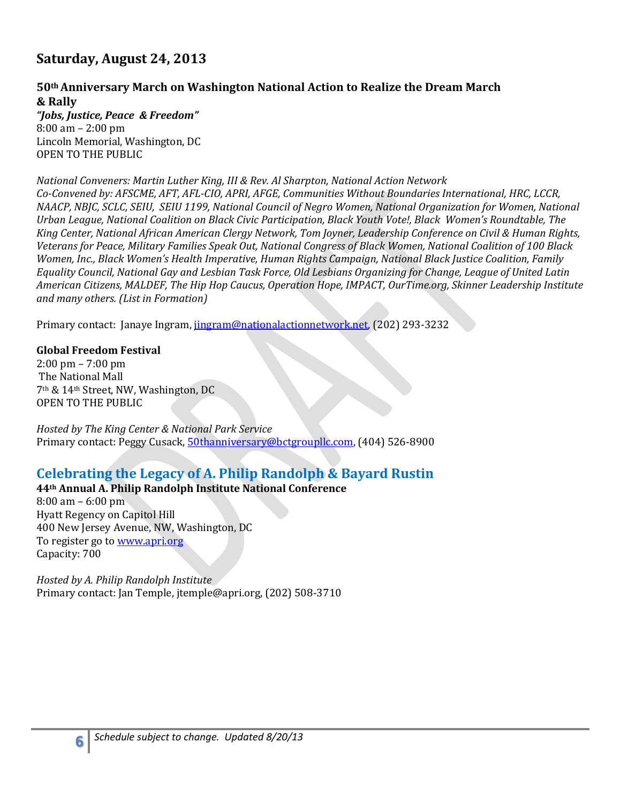## **Saturday, August 24, 2013**

## **50th Anniversary March on Washington National Action to Realize the Dream March & Rally**

*"Jobs, Justice, Peace & Freedom"* 8:00 am – 2:00 pm Lincoln Memorial, Washington, DC OPEN TO THE PUBLIC

#### *National Conveners: Martin Luther King, III & Rev. Al Sharpton, National Action Network*

*Co-Convened by: AFSCME, AFT, AFL-CIO, APRI, AFGE, Communities Without Boundaries International, HRC, LCCR, NAACP, NBJC, SCLC, SEIU, SEIU 1199, National Council of Negro Women, National Organization for Women, National Urban League, National Coalition on Black Civic Participation, Black Youth Vote!, Black Women's Roundtable, The King Center, National African American Clergy Network, Tom Joyner, Leadership Conference on Civil & Human Rights, Veterans for Peace, Military Families Speak Out, National Congress of Black Women, National Coalition of 100 Black Women, Inc., Black Women's Health Imperative, Human Rights Campaign, National Black Justice Coalition, Family Equality Council, National Gay and Lesbian Task Force, Old Lesbians Organizing for Change, League of United Latin American Citizens, MALDEF, The Hip Hop Caucus, Operation Hope, IMPACT, OurTime.org, Skinner Leadership Institute and many others. (List in Formation)*

Primary contact: Janaye Ingram[, jingram@nationalactionnetwork.net,](mailto:jingram@nationalactionnetwork.net) (202) 293-3232

#### **Global Freedom Festival**

2:00 pm – 7:00 pm The National Mall 7th & 14th Street, NW, Washington, DC OPEN TO THE PUBLIC

*Hosted by The King Center & National Park Service* Primary contact: Peggy Cusack, [50thanniversary@bctgroupllc.com,](mailto:50thanniversary@bctgroupllc.com) (404) 526-8900

## **Celebrating the Legacy of A. Philip Randolph & Bayard Rustin**

### **44th Annual A. Philip Randolph Institute National Conference**

8:00 am – 6:00 pm Hyatt Regency on Capitol Hill 400 New Jersey Avenue, NW, Washington, DC To register go t[o www.apri.org](http://www.apri.org/) Capacity: 700

*Hosted by A. Philip Randolph Institute* Primary contact: Jan Temple, [jtemple@apri.org,](mailto:jtemple@apri.org) (202) 508-3710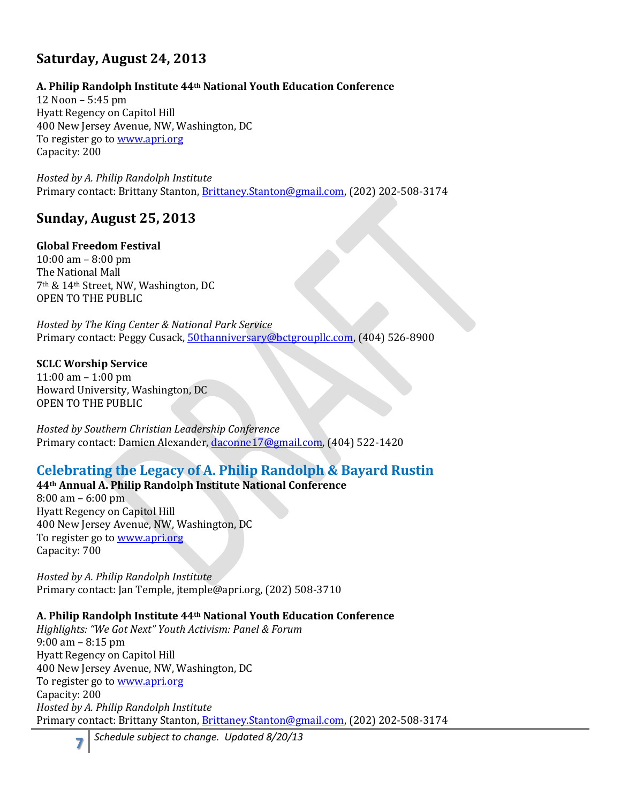## **Saturday, August 24, 2013**

### **A. Philip Randolph Institute 44th National Youth Education Conference**

12 Noon – 5:45 pm Hyatt Regency on Capitol Hill 400 New Jersey Avenue, NW, Washington, DC To register go t[o www.apri.org](http://www.apri.org/) Capacity: 200

*Hosted by A. Philip Randolph Institute* Primary contact: Brittany Stanton, [Brittaney.Stanton@gmail.com,](mailto:Brittaney.Stanton@gmail.com) (202) 202-508-3174

## **Sunday, August 25, 2013**

### **Global Freedom Festival**

10:00 am – 8:00 pm The National Mall 7th & 14th Street, NW, Washington, DC OPEN TO THE PUBLIC

*Hosted by The King Center & National Park Service* Primary contact: Peggy Cusack, [50thanniversary@bctgroupllc.com,](mailto:50thanniversary@bctgroupllc.com) (404) 526-8900

### **SCLC Worship Service**

11:00 am – 1:00 pm Howard University, Washington, DC OPEN TO THE PUBLIC

*Hosted by Southern Christian Leadership Conference* Primary contact: Damien Alexander, [daconne17@gmail.com,](mailto:daconne17@gmail.com) (404) 522-1420

## **Celebrating the Legacy of A. Philip Randolph & Bayard Rustin**

**44th Annual A. Philip Randolph Institute National Conference**

8:00 am – 6:00 pm Hyatt Regency on Capitol Hill 400 New Jersey Avenue, NW, Washington, DC To register go t[o www.apri.org](http://www.apri.org/) Capacity: 700

*Hosted by A. Philip Randolph Institute* Primary contact: Jan Temple, [jtemple@apri.org,](mailto:jtemple@apri.org) (202) 508-3710

### **A. Philip Randolph Institute 44th National Youth Education Conference**

*Highlights: "We Got Next" Youth Activism: Panel & Forum* 9:00 am – 8:15 pm Hyatt Regency on Capitol Hill 400 New Jersey Avenue, NW, Washington, DC To register go t[o www.apri.org](http://www.apri.org/) Capacity: 200 *Hosted by A. Philip Randolph Institute* Primary contact: Brittany Stanton, [Brittaney.Stanton@gmail.com,](mailto:Brittaney.Stanton@gmail.com) (202) 202-508-3174

*Schedule subject to change. Updated 8/20/13*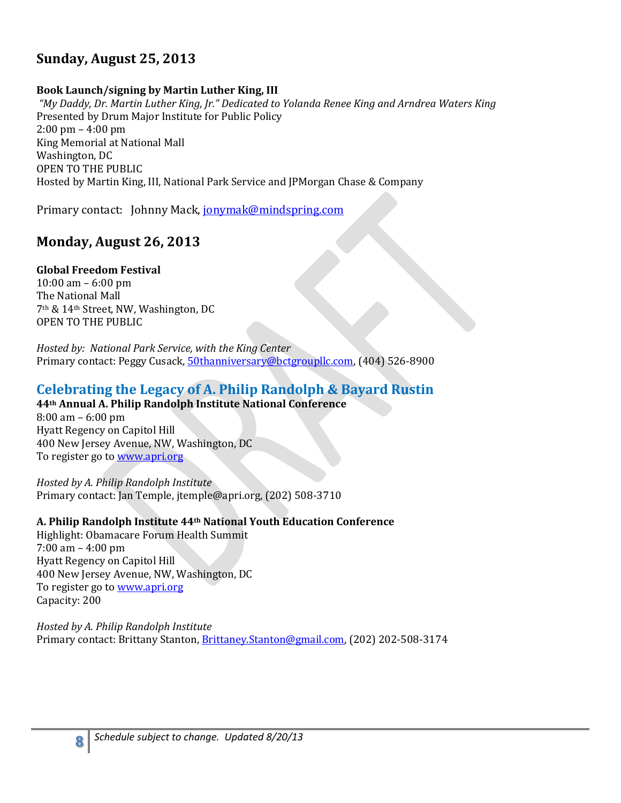## **Sunday, August 25, 2013**

#### **Book Launch/signing by Martin Luther King, III**

*"My Daddy, Dr. Martin Luther King, Jr." Dedicated to Yolanda Renee King and Arndrea Waters King* Presented by Drum Major Institute for Public Policy 2:00 pm – 4:00 pm King Memorial at National Mall Washington, DC OPEN TO THE PUBLIC Hosted by Martin King, III, National Park Service and JPMorgan Chase & Company

Primary contact: Johnny Mack, [jonymak@mindspring.com](mailto:jonymak@mindspring.com)

## **Monday, August 26, 2013**

#### **Global Freedom Festival**

10:00 am – 6:00 pm The National Mall 7th & 14th Street, NW, Washington, DC OPEN TO THE PUBLIC

*Hosted by: National Park Service, with the King Center*  Primary contact: Peggy Cusack, [50thanniversary@bctgroupllc.com,](mailto:50thanniversary@bctgroupllc.com) (404) 526-8900

## **Celebrating the Legacy of A. Philip Randolph & Bayard Rustin**

### **44th Annual A. Philip Randolph Institute National Conference**

8:00 am – 6:00 pm Hyatt Regency on Capitol Hill 400 New Jersey Avenue, NW, Washington, DC To register go t[o www.apri.org](http://www.apri.org/)

*Hosted by A. Philip Randolph Institute* Primary contact: Jan Temple, [jtemple@apri.org,](mailto:jtemple@apri.org) (202) 508-3710

### **A. Philip Randolph Institute 44th National Youth Education Conference**

Highlight: Obamacare Forum Health Summit 7:00 am – 4:00 pm Hyatt Regency on Capitol Hill 400 New Jersey Avenue, NW, Washington, DC To register go t[o www.apri.org](http://www.apri.org/) Capacity: 200

**8**

*Hosted by A. Philip Randolph Institute* Primary contact: Brittany Stanton, [Brittaney.Stanton@gmail.com,](mailto:Brittaney.Stanton@gmail.com) (202) 202-508-3174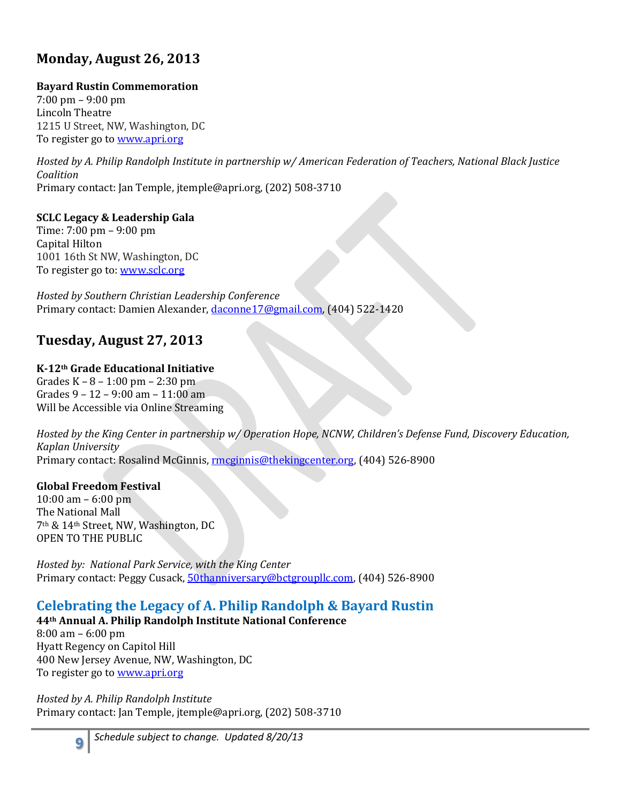## **Monday, August 26, 2013**

### **Bayard Rustin Commemoration**

7:00 pm – 9:00 pm Lincoln Theatre 1215 U Street, NW, Washington, DC To register go t[o www.apri.org](http://www.apri.org/)

*Hosted by A. Philip Randolph Institute in partnership w/ American Federation of Teachers, National Black Justice Coalition* Primary contact: Jan Temple, [jtemple@apri.org,](mailto:jtemple@apri.org) (202) 508-3710

**SCLC Legacy & Leadership Gala** Time: 7:00 pm – 9:00 pm Capital Hilton 1001 16th St NW, Washington, DC To register go to[: www.sclc.org](http://www.sclc.org/)

*Hosted by Southern Christian Leadership Conference* Primary contact: Damien Alexander, [daconne17@gmail.com,](mailto:daconne17@gmail.com) (404) 522-1420

## **Tuesday, August 27, 2013**

#### **K-12th Grade Educational Initiative**  Grades K – 8 – 1:00 pm – 2:30 pm Grades 9 – 12 – 9:00 am – 11:00 am Will be Accessible via Online Streaming

*Hosted by the King Center in partnership w/ Operation Hope, NCNW, Children's Defense Fund, Discovery Education, Kaplan University* Primary contact: Rosalind McGinnis[, rmcginnis@thekingcenter.org,](mailto:rmcginnis@thekingcenter.org) (404) 526-8900

### **Global Freedom Festival**

**9**

 $10:00$  am – 6:00 pm The National Mall 7th & 14th Street, NW, Washington, DC OPEN TO THE PUBLIC

*Hosted by: National Park Service, with the King Center*  Primary contact: Peggy Cusack, [50thanniversary@bctgroupllc.com,](mailto:50thanniversary@bctgroupllc.com) (404) 526-8900

## **Celebrating the Legacy of A. Philip Randolph & Bayard Rustin**

**44th Annual A. Philip Randolph Institute National Conference**

8:00 am – 6:00 pm Hyatt Regency on Capitol Hill 400 New Jersey Avenue, NW, Washington, DC To register go t[o www.apri.org](http://www.apri.org/)

*Hosted by A. Philip Randolph Institute* Primary contact: Jan Temple, [jtemple@apri.org,](mailto:jtemple@apri.org) (202) 508-3710